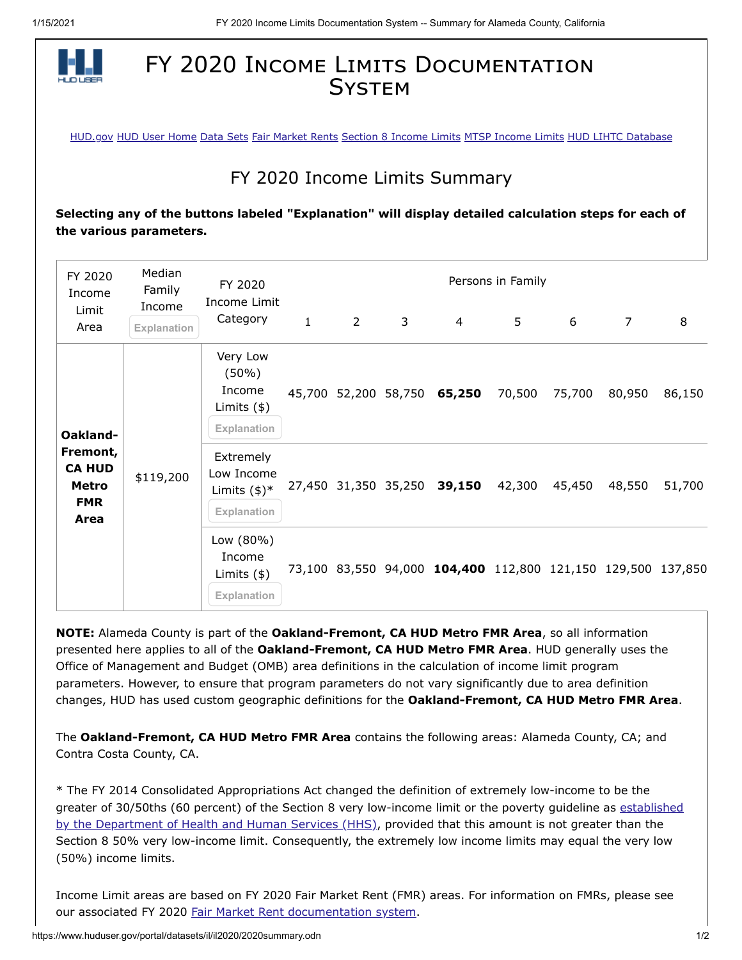

## FY 2020 INCOME LIMITS DOCUMENTATION **SYSTEM**

[HUD.gov](http://www.hud.gov/) [HUD User Home](http://www.huduser.org/portal/index.html) [Data Sets](http://www.huduser.org/portal/datasets/pdrdatas.html) [Fair Market Rents](http://www.huduser.org/portal/datasets/fmr.html) [Section 8 Income Limits](http://www.huduser.org/portal/datasets/il.html) [MTSP Income Limits](http://www.huduser.org/portal/datasets/mtsp.html) [HUD LIHTC Database](http://www.huduser.org/portal/datasets/lihtc.html)

## FY 2020 Income Limits Summary

**Selecting any of the buttons labeled "Explanation" will display detailed calculation steps for each of the various parameters.**

| FY 2020<br>Income<br>Limit                                           | Median<br>Family<br>Income | FY 2020<br>Income Limit<br>Category                           | Persons in Family |                |                      |                                                              |        |        |                |        |
|----------------------------------------------------------------------|----------------------------|---------------------------------------------------------------|-------------------|----------------|----------------------|--------------------------------------------------------------|--------|--------|----------------|--------|
| Area                                                                 | Explanation                |                                                               | $\mathbf{1}$      | $\overline{2}$ | 3                    | $\overline{4}$                                               | 5      | 6      | $\overline{7}$ | 8      |
| Oakland-<br>Fremont,<br><b>CA HUD</b><br>Metro<br><b>FMR</b><br>Area | \$119,200                  | Very Low<br>$(50\%)$<br>Income<br>Limits $(*)$<br>Explanation |                   |                | 45,700 52,200 58,750 | 65,250                                                       | 70,500 | 75,700 | 80,950         | 86,150 |
|                                                                      |                            | Extremely<br>Low Income<br>Limits $(\$)^*$<br>Explanation     |                   |                | 27,450 31,350 35,250 | 39,150                                                       | 42,300 | 45,450 | 48,550         | 51,700 |
|                                                                      |                            | Low (80%)<br>Income<br>Limits $(\$)$<br>Explanation           |                   |                |                      | 73,100 83,550 94,000 104,400 112,800 121,150 129,500 137,850 |        |        |                |        |

**NOTE:** Alameda County is part of the **Oakland-Fremont, CA HUD Metro FMR Area**, so all information presented here applies to all of the **Oakland-Fremont, CA HUD Metro FMR Area**. HUD generally uses the Office of Management and Budget (OMB) area definitions in the calculation of income limit program parameters. However, to ensure that program parameters do not vary significantly due to area definition changes, HUD has used custom geographic definitions for the **Oakland-Fremont, CA HUD Metro FMR Area**.

The **Oakland-Fremont, CA HUD Metro FMR Area** contains the following areas: Alameda County, CA; and Contra Costa County, CA.

\* The FY 2014 Consolidated Appropriations Act changed the definition of extremely low-income to be the [greater of 30/50ths \(60 percent\) of the Section 8 very low-income limit or the poverty guideline as established](https://www.federalregister.gov/documents/2020/01/17/2020-00858/annual-update-of-the-hhs-poverty-guidelines) by the Department of Health and Human Services (HHS), provided that this amount is not greater than the Section 8 50% very low-income limit. Consequently, the extremely low income limits may equal the very low (50%) income limits.

Income Limit areas are based on FY 2020 Fair Market Rent (FMR) areas. For information on FMRs, please see our associated FY 2020 [Fair Market Rent documentation system.](https://www.huduser.gov/portal/datasets/fmr.html#2020_query)